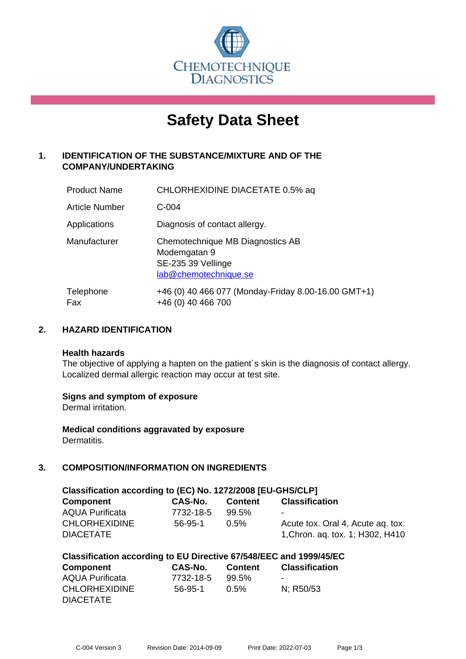

# **Safety Data Sheet**

# **1. IDENTIFICATION OF THE SUBSTANCE/MIXTURE AND OF THE COMPANY/UNDERTAKING**

| <b>Product Name</b> | CHLORHEXIDINE DIACETATE 0.5% aq                                                                 |
|---------------------|-------------------------------------------------------------------------------------------------|
| Article Number      | $C-004$                                                                                         |
| Applications        | Diagnosis of contact allergy.                                                                   |
| Manufacturer        | Chemotechnique MB Diagnostics AB<br>Modemgatan 9<br>SE-235 39 Vellinge<br>lab@chemotechnique.se |
| Telephone<br>Fax    | +46 (0) 40 466 077 (Monday-Friday 8.00-16.00 GMT+1)<br>+46 (0) 40 466 700                       |

## **2. HAZARD IDENTIFICATION**

#### **Health hazards**

The objective of applying a hapten on the patient's skin is the diagnosis of contact allergy. Localized dermal allergic reaction may occur at test site.

### **Signs and symptom of exposure**

Dermal irritation.

**Medical conditions aggravated by exposure** Dermatitis.

# **3. COMPOSITION/INFORMATION ON INGREDIENTS**

| Classification according to (EC) No. 1272/2008 [EU-GHS/CLP] |               |                |                                   |
|-------------------------------------------------------------|---------------|----------------|-----------------------------------|
| Component                                                   | CAS-No.       | <b>Content</b> | <b>Classification</b>             |
| <b>AQUA Purificata</b>                                      | 7732-18-5     | $99.5\%$       | ۰                                 |
| <b>CHLORHEXIDINE</b>                                        | $56 - 95 - 1$ | $0.5\%$        | Acute tox. Oral 4, Acute ag. tox. |
| <b>DIACETATE</b>                                            |               |                | 1, Chron. ag. tox. 1; H302, H410  |

| Classification according to EU Directive 67/548/EEC and 1999/45/EC |  |  |  |
|--------------------------------------------------------------------|--|--|--|
|--------------------------------------------------------------------|--|--|--|

| Component              | CAS-No.   | <b>Content</b> | <b>Classification</b> |
|------------------------|-----------|----------------|-----------------------|
| <b>AQUA Purificata</b> | 7732-18-5 | 99.5%          | $\blacksquare$        |
| <b>CHLORHEXIDINE</b>   | 56-95-1   | $0.5\%$        | N: R50/53             |
| <b>DIACETATE</b>       |           |                |                       |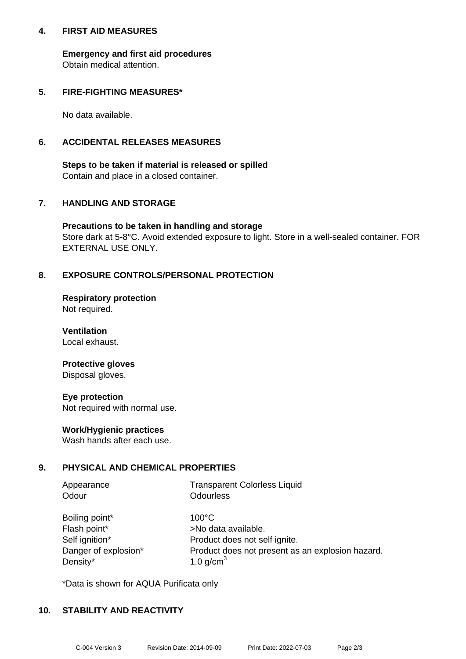### **4. FIRST AID MEASURES**

**Emergency and first aid procedures** Obtain medical attention.

## **5. FIRE-FIGHTING MEASURES\***

No data available.

## **6. ACCIDENTAL RELEASES MEASURES**

**Steps to be taken if material is released or spilled** Contain and place in a closed container.

## **7. HANDLING AND STORAGE**

**Precautions to be taken in handling and storage** Store dark at 5-8°C. Avoid extended exposure to light. Store in a well-sealed container. FOR EXTERNAL USE ONLY.

## **8. EXPOSURE CONTROLS/PERSONAL PROTECTION**

**Respiratory protection** Not required.

**Ventilation** Local exhaust.

#### **Protective gloves** Disposal gloves.

**Eye protection** Not required with normal use.

### **Work/Hygienic practices**

Wash hands after each use.

### **9. PHYSICAL AND CHEMICAL PROPERTIES**

| Appearance | <b>Transparent Colorless Liquid</b> |
|------------|-------------------------------------|
| Odour      | Odourless                           |

| Boiling point*       |
|----------------------|
| Flash point*         |
| Self ignition*       |
| Danger of explosion* |
| Density*             |

 $100^{\circ}$ C >No data available. Product does not self ignite. Product does not present as an explosion hazard. 1.0 g/cm $<sup>3</sup>$ </sup>

\*Data is shown for AQUA Purificata only

### **10. STABILITY AND REACTIVITY**